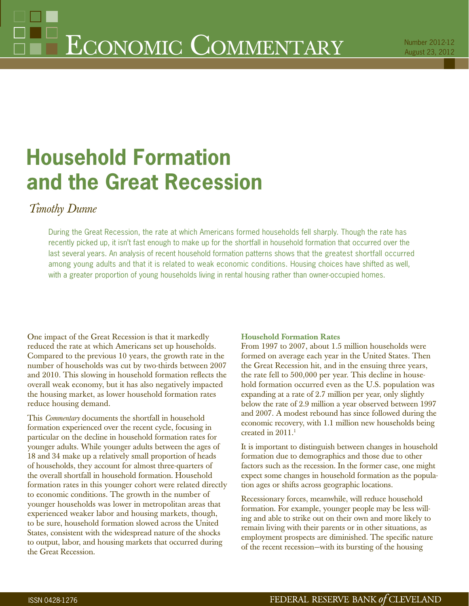# **Household Formation and the Great Recession**

## *Timothy Dunne*

During the Great Recession, the rate at which Americans formed households fell sharply. Though the rate has recently picked up, it isn't fast enough to make up for the shortfall in household formation that occurred over the last several years. An analysis of recent household formation patterns shows that the greatest shortfall occurred among young adults and that it is related to weak economic conditions. Housing choices have shifted as well, with a greater proportion of young households living in rental housing rather than owner-occupied homes.

One impact of the Great Recession is that it markedly reduced the rate at which Americans set up households. Compared to the previous 10 years, the growth rate in the number of households was cut by two-thirds between 2007 and 2010. This slowing in household formation reflects the overall weak economy, but it has also negatively impacted the housing market, as lower household formation rates reduce housing demand.

This *Commentary* documents the shortfall in household formation experienced over the recent cycle, focusing in particular on the decline in household formation rates for younger adults. While younger adults between the ages of 18 and 34 make up a relatively small proportion of heads of households, they account for almost three-quarters of the overall shortfall in household formation. Household formation rates in this younger cohort were related directly to economic conditions. The growth in the number of younger households was lower in metropolitan areas that experienced weaker labor and housing markets, though, to be sure, household formation slowed across the United States, consistent with the widespread nature of the shocks to output, labor, and housing markets that occurred during the Great Recession.

#### **Household Formation Rates**

From 1997 to 2007, about 1.5 million households were formed on average each year in the United States. Then the Great Recession hit, and in the ensuing three years, the rate fell to 500,000 per year. This decline in household formation occurred even as the U.S. population was expanding at a rate of 2.7 million per year, only slightly below the rate of 2.9 million a year observed between 1997 and 2007. A modest rebound has since followed during the economic recovery, with 1.1 million new households being created in 2011.<sup>1</sup>

It is important to distinguish between changes in household formation due to demographics and those due to other factors such as the recession. In the former case, one might expect some changes in household formation as the population ages or shifts across geographic locations.

Recessionary forces, meanwhile, will reduce household formation. For example, younger people may be less willing and able to strike out on their own and more likely to remain living with their parents or in other situations, as employment prospects are diminished. The specific nature of the recent recession—with its bursting of the housing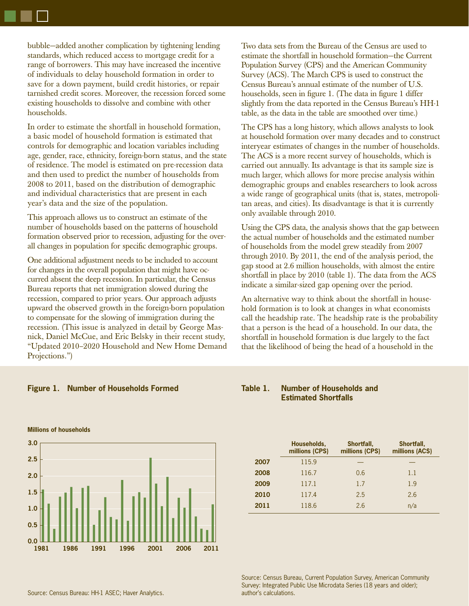bubble—added another complication by tightening lending standards, which reduced access to mortgage credit for a range of borrowers. This may have increased the incentive of individuals to delay household formation in order to save for a down payment, build credit histories, or repair tarnished credit scores. Moreover, the recession forced some existing households to dissolve and combine with other households.

In order to estimate the shortfall in household formation, a basic model of household formation is estimated that controls for demographic and location variables including age, gender, race, ethnicity, foreign-born status, and the state of residence. The model is estimated on pre-recession data and then used to predict the number of households from 2008 to 2011, based on the distribution of demographic and individual characteristics that are present in each year's data and the size of the population.

This approach allows us to construct an estimate of the number of households based on the patterns of household formation observed prior to recession, adjusting for the overall changes in population for specific demographic groups.

One additional adjustment needs to be included to account for changes in the overall population that might have occurred absent the deep recession. In particular, the Census Bureau reports that net immigration slowed during the recession, compared to prior years. Our approach adjusts upward the observed growth in the foreign-born population to compensate for the slowing of immigration during the recession. (This issue is analyzed in detail by George Masnick, Daniel McCue, and Eric Belsky in their recent study, "Updated 2010–2020 Household and New Home Demand Projections.")

Two data sets from the Bureau of the Census are used to estimate the shortfall in household formation—the Current Population Survey (CPS) and the American Community Survey (ACS). The March CPS is used to construct the Census Bureau's annual estimate of the number of U.S. households, seen in figure 1. (The data in figure 1 differ slightly from the data reported in the Census Bureau's HH-1 table, as the data in the table are smoothed over time.)

The CPS has a long history, which allows analysts to look at household formation over many decades and to construct interyear estimates of changes in the number of households. The ACS is a more recent survey of households, which is carried out annually. Its advantage is that its sample size is much larger, which allows for more precise analysis within demographic groups and enables researchers to look across a wide range of geographical units (that is, states, metropolitan areas, and cities). Its disadvantage is that it is currently only available through 2010.

Using the CPS data, the analysis shows that the gap between the actual number of households and the estimated number of households from the model grew steadily from 2007 through 2010. By 2011, the end of the analysis period, the gap stood at 2.6 million households, with almost the entire shortfall in place by 2010 (table 1). The data from the ACS indicate a similar-sized gap opening over the period.

An alternative way to think about the shortfall in household formation is to look at changes in what economists call the headship rate. The headship rate is the probability that a person is the head of a household. In our data, the shortfall in household formation is due largely to the fact that the likelihood of being the head of a household in the

#### **Figure 1. Number of Households Formed**

#### **Table 1. Number of Households and Estimated Shortfalls**

|      | Households,<br>millions (CPS) | Shortfall,<br>millions (CPS) | Shortfall,<br>millions (ACS) |
|------|-------------------------------|------------------------------|------------------------------|
| 2007 | 115.9                         |                              |                              |
| 2008 | 116.7                         | 0.6                          | 1.1                          |
| 2009 | 117.1                         | 1.7                          | 1.9                          |
| 2010 | 117.4                         | 2.5                          | 2.6                          |
| 2011 | 118.6                         | 2.6                          | n/a                          |

Source: Census Bureau, Current Population Survey, American Community Survey: Integrated Public Use Microdata Series (18 years and older); author's calculations.



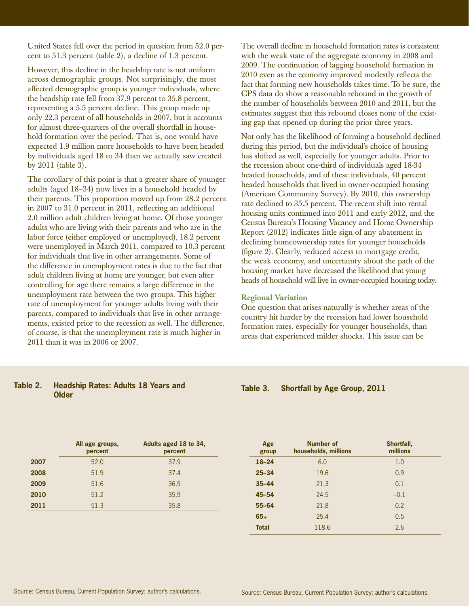United States fell over the period in question from 52.0 percent to 51.3 percent (table 2), a decline of 1.3 percent.

However, this decline in the headship rate is not uniform across demographic groups. Not surprisingly, the most affected demographic group is younger individuals, where the headship rate fell from 37.9 percent to 35.8 percent, representing a 5.5 percent decline. This group made up only 22.3 percent of all households in 2007, but it accounts for almost three-quarters of the overall shortfall in household formation over the period. That is, one would have expected 1.9 million more households to have been headed by individuals aged 18 to 34 than we actually saw created by 2011 (table 3).

The corollary of this point is that a greater share of younger adults (aged 18–34) now lives in a household headed by their parents. This proportion moved up from 28.2 percent in 2007 to  $31.0$  percent in  $2011$ , reflecting an additional 2.0 million adult children living at home. Of those younger adults who are living with their parents and who are in the labor force (either employed or unemployed), 18.2 percent were unemployed in March 2011, compared to 10.3 percent for individuals that live in other arrangements. Some of the difference in unemployment rates is due to the fact that adult children living at home are younger, but even after controlling for age there remains a large difference in the unemployment rate between the two groups. This higher rate of unemployment for younger adults living with their parents, compared to individuals that live in other arrangements, existed prior to the recession as well. The difference, of course, is that the unemployment rate is much higher in 2011 than it was in 2006 or 2007.

The overall decline in household formation rates is consistent with the weak state of the aggregate economy in 2008 and 2009. The continuation of lagging household formation in 2010 even as the economy improved modestly reflects the fact that forming new households takes time. To be sure, the CPS data do show a reasonable rebound in the growth of the number of households between 2010 and 2011, but the estimates suggest that this rebound closes none of the existing gap that opened up during the prior three years.

Not only has the likelihood of forming a household declined during this period, but the individual's choice of housing has shifted as well, especially for younger adults. Prior to the recession about one-third of individuals aged 18-34 headed households, and of these individuals, 40 percent headed households that lived in owner-occupied housing (American Community Survey). By 2010, this ownership rate declined to 35.5 percent. The recent shift into rental housing units continued into 2011 and early 2012, and the Census Bureau's Housing Vacancy and Home Ownership Report (2012) indicates little sign of any abatement in declining homeownership rates for younger households (figure 2). Clearly, reduced access to mortgage credit, the weak economy, and uncertainty about the path of the housing market have decreased the likelihood that young heads of household will live in owner-occupied housing today.

#### **Regional Variation**

One question that arises naturally is whether areas of the country hit harder by the recession had lower household formation rates, especially for younger households, than areas that experienced milder shocks. This issue can be

#### **Table 2. Headship Rates: Adults 18 Years and Older**

|      | All age groups,<br>percent | Adults aged 18 to 34,<br>percent |
|------|----------------------------|----------------------------------|
| 2007 | 52.0                       | 37.9                             |
| 2008 | 51.9                       | 37.4                             |
| 2009 | 51.6                       | 36.9                             |
| 2010 | 51.2                       | 35.9                             |
| 2011 | 51.3                       | 35.8                             |
|      |                            |                                  |

**Table 3. Shortfall by Age Group, 2011**

| Age<br>group | <b>Number of</b><br>households, millions | Shortfall,<br>millions |
|--------------|------------------------------------------|------------------------|
| $18 - 24$    | 6.0                                      | 1.0                    |
| $25 - 34$    | 19.6                                     | 0.9                    |
| $35 - 44$    | 21.3                                     | 0.1                    |
| $45 - 54$    | 24.5                                     | $-0.1$                 |
| $55 - 64$    | 21.8                                     | 0.2                    |
| $65+$        | 25.4                                     | 0.5                    |
| <b>Total</b> | 118.6                                    | 2.6                    |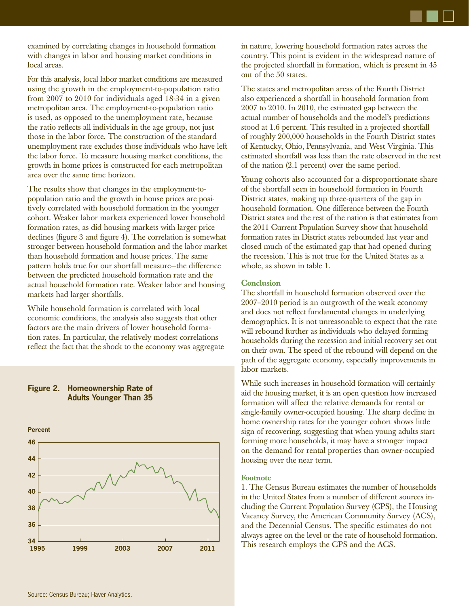examined by correlating changes in household formation with changes in labor and housing market conditions in local areas.

For this analysis, local labor market conditions are measured using the growth in the employment-to-population ratio from 2007 to 2010 for individuals aged 18-34 in a given metropolitan area. The employment-to-population ratio is used, as opposed to the unemployment rate, because the ratio reflects all individuals in the age group, not just those in the labor force. The construction of the standard unemployment rate excludes those individuals who have left the labor force. To measure housing market conditions, the growth in home prices is constructed for each metropolitan area over the same time horizon.

The results show that changes in the employment-topopulation ratio and the growth in house prices are positively correlated with household formation in the younger cohort. Weaker labor markets experienced lower household formation rates, as did housing markets with larger price declines (figure 3 and figure 4). The correlation is somewhat stronger between household formation and the labor market than household formation and house prices. The same pattern holds true for our shortfall measure—the difference between the predicted household formation rate and the actual household formation rate. Weaker labor and housing markets had larger shortfalls.

While household formation is correlated with local economic conditions, the analysis also suggests that other factors are the main drivers of lower household formation rates. In particular, the relatively modest correlations reflect the fact that the shock to the economy was aggregate

#### **Figure 2. Homeownership Rate of Adults Younger Than 35**



in nature, lowering household formation rates across the country. This point is evident in the widespread nature of the projected shortfall in formation, which is present in 45 out of the 50 states.

The states and metropolitan areas of the Fourth District also experienced a shortfall in household formation from 2007 to 2010. In 2010, the estimated gap between the actual number of households and the model's predictions stood at 1.6 percent. This resulted in a projected shortfall of roughly 200,000 households in the Fourth District states of Kentucky, Ohio, Pennsylvania, and West Virginia. This estimated shortfall was less than the rate observed in the rest of the nation (2.1 percent) over the same period.

Young cohorts also accounted for a disproportionate share of the shortfall seen in household formation in Fourth District states, making up three-quarters of the gap in household formation. One difference between the Fourth District states and the rest of the nation is that estimates from the 2011 Current Population Survey show that household formation rates in District states rebounded last year and closed much of the estimated gap that had opened during the recession. This is not true for the United States as a whole, as shown in table 1.

#### **Conclusion**

The shortfall in household formation observed over the 2007–2010 period is an outgrowth of the weak economy and does not reflect fundamental changes in underlying demographics. It is not unreasonable to expect that the rate will rebound further as individuals who delayed forming households during the recession and initial recovery set out on their own. The speed of the rebound will depend on the path of the aggregate economy, especially improvements in labor markets.

While such increases in household formation will certainly aid the housing market, it is an open question how increased formation will affect the relative demands for rental or single-family owner-occupied housing. The sharp decline in home ownership rates for the younger cohort shows little sign of recovering, suggesting that when young adults start forming more households, it may have a stronger impact on the demand for rental properties than owner-occupied housing over the near term.

#### **Footnote**

1. The Census Bureau estimates the number of households in the United States from a number of different sources including the Current Population Survey (CPS), the Housing Vacancy Survey, the American Community Survey (ACS), and the Decennial Census. The specific estimates do not always agree on the level or the rate of household formation. This research employs the CPS and the ACS.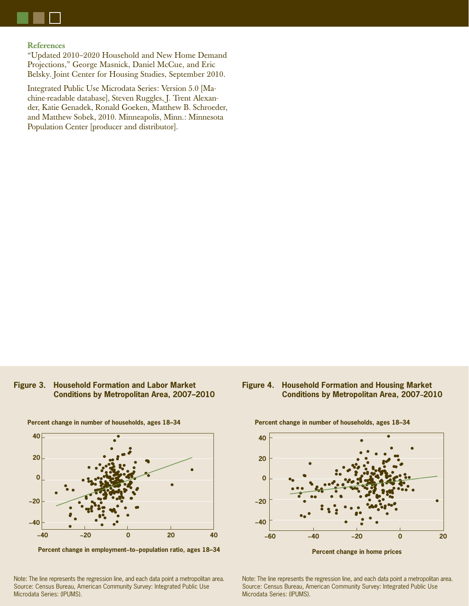

#### **References** "Updated 2010–2020 Household and New Home Demand Projections," George Masnick, Daniel McCue, and Eric

Belsky. Joint Center for Housing Studies, September 2010.

Integrated Public Use Microdata Series: Version 5.0 [Machine-readable database], Steven Ruggles, J. Trent Alexander, Katie Genadek, Ronald Goeken, Matthew B. Schroeder, and Matthew Sobek, 2010. Minneapolis, Minn.: Minnesota Population Center [producer and distributor].

#### **Figure 3. Household Formation and Labor Market Conditions by Metropolitan Area, 2007–2010**



**Percent change in number of households, ages 18–34**

**Percent change in employment−to−population ratio, ages 18–34**

Note: The line represents the regression line, and each data point a metropolitan area. Source: Census Bureau, American Community Survey: Integrated Public Use Microdata Series: (IPUMS).

### **Figure 4. Household Formation and Housing Market Conditions by Metropolitan Area, 2007–2010**



Note: The line represents the regression line, and each data point a metropolitan area. Source: Census Bureau, American Community Survey: Integrated Public Use Microdata Series: (IPUMS).